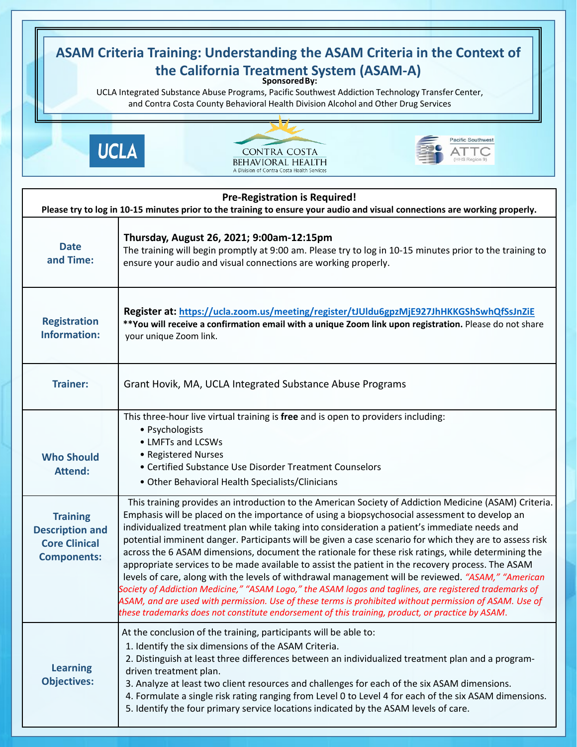| <b>ASAM Criteria Training: Understanding the ASAM Criteria in the Context of</b><br>the California Treatment System (ASAM-A)<br>UCLA Integrated Substance Abuse Programs, Pacific Southwest Addiction Technology Transfer Center,<br>and Contra Costa County Behavioral Health Division Alcohol and Other Drug Services |                                                                                                                                                                                                                                                                                                                                                                                                                                                                                                                                                                                                                                                                                                                                                                                                                                                                                                                                                                                                                                                              |
|-------------------------------------------------------------------------------------------------------------------------------------------------------------------------------------------------------------------------------------------------------------------------------------------------------------------------|--------------------------------------------------------------------------------------------------------------------------------------------------------------------------------------------------------------------------------------------------------------------------------------------------------------------------------------------------------------------------------------------------------------------------------------------------------------------------------------------------------------------------------------------------------------------------------------------------------------------------------------------------------------------------------------------------------------------------------------------------------------------------------------------------------------------------------------------------------------------------------------------------------------------------------------------------------------------------------------------------------------------------------------------------------------|
|                                                                                                                                                                                                                                                                                                                         | <b>Pacific Southwest</b><br><b>UCLA</b><br><b>CONTRA COSTA</b><br>BEHAVIORAL HEALTH<br>A Division of Contra Costa Health Services                                                                                                                                                                                                                                                                                                                                                                                                                                                                                                                                                                                                                                                                                                                                                                                                                                                                                                                            |
| <b>Pre-Registration is Required!</b><br>Please try to log in 10-15 minutes prior to the training to ensure your audio and visual connections are working properly.                                                                                                                                                      |                                                                                                                                                                                                                                                                                                                                                                                                                                                                                                                                                                                                                                                                                                                                                                                                                                                                                                                                                                                                                                                              |
| <b>Date</b><br>and Time:                                                                                                                                                                                                                                                                                                | Thursday, August 26, 2021; 9:00am-12:15pm<br>The training will begin promptly at 9:00 am. Please try to log in 10-15 minutes prior to the training to<br>ensure your audio and visual connections are working properly.                                                                                                                                                                                                                                                                                                                                                                                                                                                                                                                                                                                                                                                                                                                                                                                                                                      |
| <b>Registration</b><br><b>Information:</b>                                                                                                                                                                                                                                                                              | Register at: https://ucla.zoom.us/meeting/register/tJUldu6gpzMjE927JhHKKGShSwhQfSsJnZiE<br>**You will receive a confirmation email with a unique Zoom link upon registration. Please do not share<br>your unique Zoom link.                                                                                                                                                                                                                                                                                                                                                                                                                                                                                                                                                                                                                                                                                                                                                                                                                                  |
| <b>Trainer:</b>                                                                                                                                                                                                                                                                                                         | Grant Hovik, MA, UCLA Integrated Substance Abuse Programs                                                                                                                                                                                                                                                                                                                                                                                                                                                                                                                                                                                                                                                                                                                                                                                                                                                                                                                                                                                                    |
| <b>Who Should</b><br><b>Attend:</b>                                                                                                                                                                                                                                                                                     | This three-hour live virtual training is free and is open to providers including:<br>• Psychologists<br>• LMFTs and LCSWs<br>• Registered Nurses<br>• Certified Substance Use Disorder Treatment Counselors<br>• Other Behavioral Health Specialists/Clinicians                                                                                                                                                                                                                                                                                                                                                                                                                                                                                                                                                                                                                                                                                                                                                                                              |
| <b>Training</b><br><b>Description and</b><br><b>Core Clinical</b><br><b>Components:</b>                                                                                                                                                                                                                                 | This training provides an introduction to the American Society of Addiction Medicine (ASAM) Criteria.<br>Emphasis will be placed on the importance of using a biopsychosocial assessment to develop an<br>individualized treatment plan while taking into consideration a patient's immediate needs and<br>potential imminent danger. Participants will be given a case scenario for which they are to assess risk<br>across the 6 ASAM dimensions, document the rationale for these risk ratings, while determining the<br>appropriate services to be made available to assist the patient in the recovery process. The ASAM<br>levels of care, along with the levels of withdrawal management will be reviewed. "ASAM," "American<br>Society of Addiction Medicine," "ASAM Logo," the ASAM logos and taglines, are registered trademarks of<br>ASAM, and are used with permission. Use of these terms is prohibited without permission of ASAM. Use of<br>these trademarks does not constitute endorsement of this training, product, or practice by ASAM. |
| <b>Learning</b><br><b>Objectives:</b>                                                                                                                                                                                                                                                                                   | At the conclusion of the training, participants will be able to:<br>1. Identify the six dimensions of the ASAM Criteria.<br>2. Distinguish at least three differences between an individualized treatment plan and a program-<br>driven treatment plan.<br>3. Analyze at least two client resources and challenges for each of the six ASAM dimensions.<br>4. Formulate a single risk rating ranging from Level 0 to Level 4 for each of the six ASAM dimensions.<br>5. Identify the four primary service locations indicated by the ASAM levels of care.                                                                                                                                                                                                                                                                                                                                                                                                                                                                                                    |